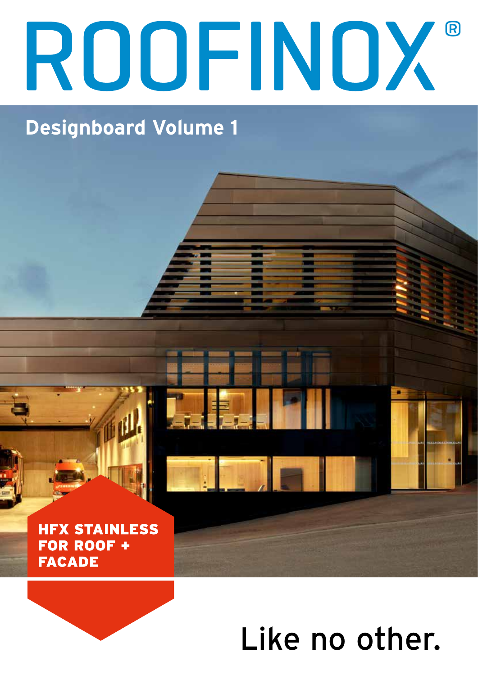## ROOFINOX

## **Designboard Volume 1**

**HFX STAINLESS** FOR ROOF + **FACADE** 

## Like no other.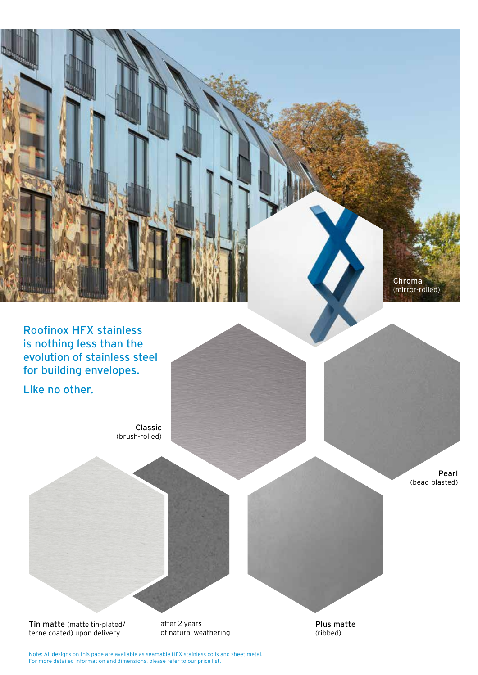

Roofinox HFX stainless is nothing less than the evolution of stainless steel for building envelopes.

Like no other.

Classic (brush-rolled)

> Pearl (bead-blasted)

Tin matte (matte tin-plated/ terne coated) upon delivery

after 2 years of natural weathering Plus matte (ribbed)

Note: All designs on this page are available as seamable HFX stainless coils and sheet metal. For more detailed information and dimensions, please refer to our price list.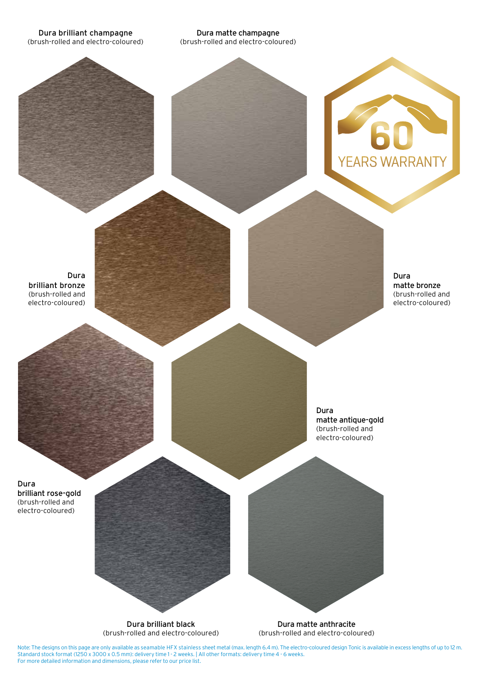Dura brilliant champagne (brush-rolled and electro-coloured)

Dura matte champagne (brush-rolled and electro-coloured)



Dura brilliant bronze (brush-rolled and electro-coloured)

Dura matte bronze (brush-rolled and electro-coloured)

Dura matte antique-gold (brush-rolled and electro-coloured)

Dura brilliant rose-gold (brush-rolled and electro-coloured)

Dura brilliant black (brush-rolled and electro-coloured)

Dura matte anthracite (brush-rolled and electro-coloured)

Note: The designs on this page are only available as seamable HFX stainless sheet metal (max. length 6.4 m). The electro-coloured design Tonic is available in excess lengths of up to 12 m. Standard stock format (1250 x 3000 x 0.5 mm): delivery time 1 - 2 weeks. | All other formats: delivery time 4 - 6 weeks. For more detailed information and dimensions, please refer to our price list.